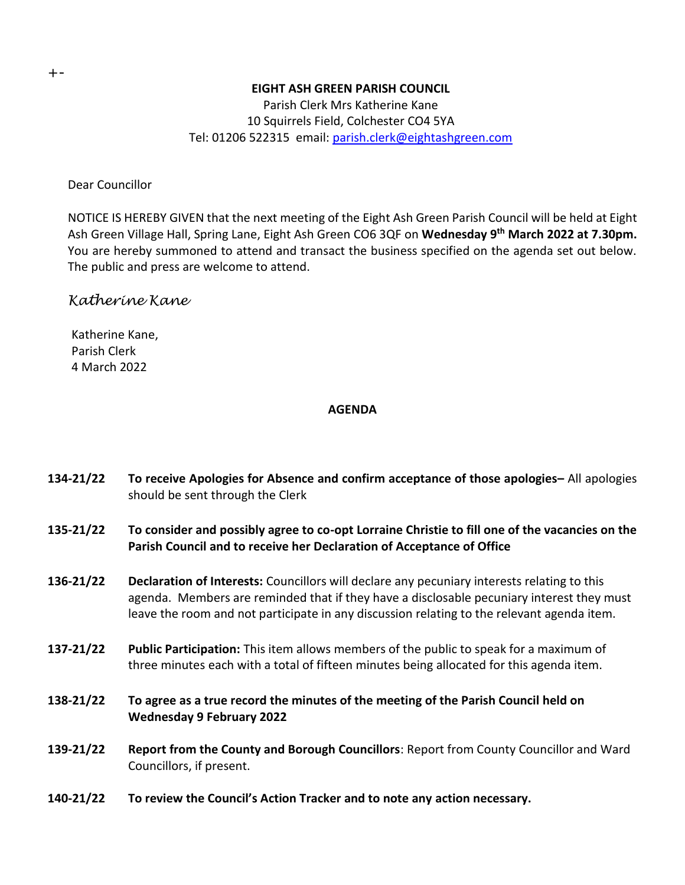## **EIGHT ASH GREEN PARISH COUNCIL**

Parish Clerk Mrs Katherine Kane 10 Squirrels Field, Colchester CO4 5YA Tel: 01206 522315 email: [parish.clerk@eightashgreen.com](mailto:parish.clerk@eightashgreen.com)

Dear Councillor

NOTICE IS HEREBY GIVEN that the next meeting of the Eight Ash Green Parish Council will be held at Eight Ash Green Village Hall, Spring Lane, Eight Ash Green CO6 3QF on **Wednesday 9 th March 2022 at 7.30pm.** You are hereby summoned to attend and transact the business specified on the agenda set out below. The public and press are welcome to attend.

# *Katherine Kane*

Katherine Kane, Parish Clerk 4 March 2022

# **AGENDA**

- **134-21/22 To receive Apologies for Absence and confirm acceptance of those apologies–** All apologies should be sent through the Clerk
- **135-21/22 To consider and possibly agree to co-opt Lorraine Christie to fill one of the vacancies on the Parish Council and to receive her Declaration of Acceptance of Office**
- **136-21/22 Declaration of Interests:** Councillors will declare any pecuniary interests relating to this agenda. Members are reminded that if they have a disclosable pecuniary interest they must leave the room and not participate in any discussion relating to the relevant agenda item.
- **137-21/22 Public Participation:** This item allows members of the public to speak for a maximum of three minutes each with a total of fifteen minutes being allocated for this agenda item.
- **138-21/22 To agree as a true record the minutes of the meeting of the Parish Council held on Wednesday 9 February 2022**
- **139-21/22 Report from the County and Borough Councillors**: Report from County Councillor and Ward Councillors, if present.
- **140-21/22 To review the Council's Action Tracker and to note any action necessary.**

+-